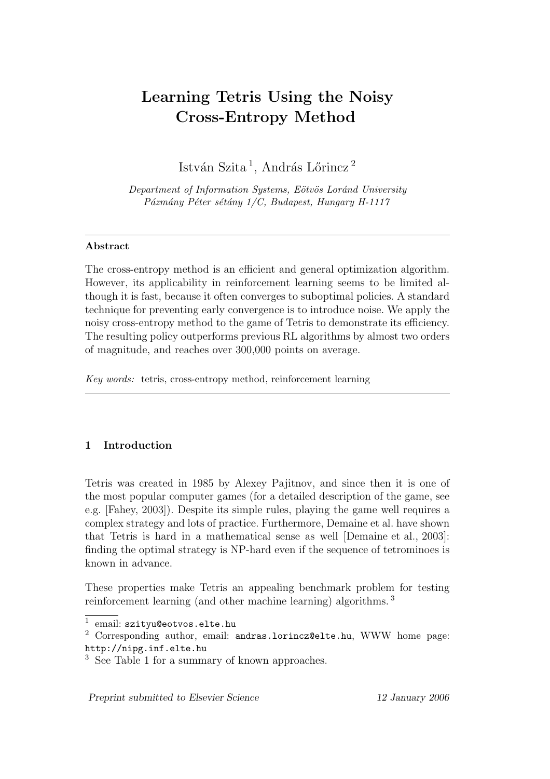# Learning Tetris Using the Noisy Cross-Entropy Method

István Szita $^1$ , András Lőrincz  $^2$ 

Department of Information Systems, Eötvös Loránd University Pázmány Péter sétány 1/C, Budapest, Hungary H-1117

# Abstract

The cross-entropy method is an efficient and general optimization algorithm. However, its applicability in reinforcement learning seems to be limited although it is fast, because it often converges to suboptimal policies. A standard technique for preventing early convergence is to introduce noise. We apply the noisy cross-entropy method to the game of Tetris to demonstrate its efficiency. The resulting policy outperforms previous RL algorithms by almost two orders of magnitude, and reaches over 300,000 points on average.

Key words: tetris, cross-entropy method, reinforcement learning

# 1 Introduction

Tetris was created in 1985 by Alexey Pajitnov, and since then it is one of the most popular computer games (for a detailed description of the game, see e.g. [Fahey, 2003]). Despite its simple rules, playing the game well requires a complex strategy and lots of practice. Furthermore, Demaine et al. have shown that Tetris is hard in a mathematical sense as well [Demaine et al., 2003]: finding the optimal strategy is NP-hard even if the sequence of tetrominoes is known in advance.

These properties make Tetris an appealing benchmark problem for testing reinforcement learning (and other machine learning) algorithms. <sup>3</sup>

 $^1$  email: szityu@eotvos.elte.hu

Preprint submitted to Elsevier Science 12 January 2006

<sup>2</sup> Corresponding author, email: andras.lorincz@elte.hu, WWW home page: http://nipg.inf.elte.hu

<sup>3</sup> See Table 1 for a summary of known approaches.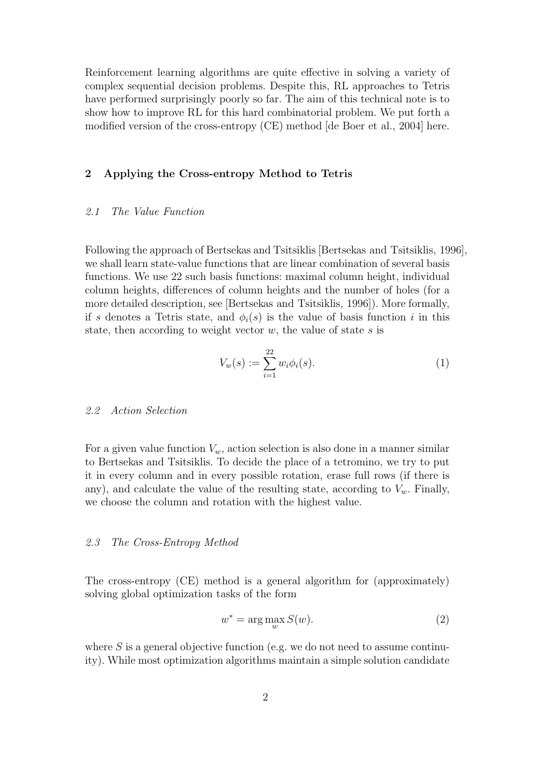Reinforcement learning algorithms are quite effective in solving a variety of complex sequential decision problems. Despite this, RL approaches to Tetris have performed surprisingly poorly so far. The aim of this technical note is to show how to improve RL for this hard combinatorial problem. We put forth a modified version of the cross-entropy (CE) method [de Boer et al., 2004] here.

#### 2 Applying the Cross-entropy Method to Tetris

#### 2.1 The Value Function

Following the approach of Bertsekas and Tsitsiklis [Bertsekas and Tsitsiklis, 1996], we shall learn state-value functions that are linear combination of several basis functions. We use 22 such basis functions: maximal column height, individual column heights, differences of column heights and the number of holes (for a more detailed description, see [Bertsekas and Tsitsiklis, 1996]). More formally, if s denotes a Tetris state, and  $\phi_i(s)$  is the value of basis function i in this state, then according to weight vector  $w$ , the value of state  $s$  is

$$
V_w(s) := \sum_{i=1}^{22} w_i \phi_i(s).
$$
 (1)

## 2.2 Action Selection

For a given value function  $V_w$ , action selection is also done in a manner similar to Bertsekas and Tsitsiklis. To decide the place of a tetromino, we try to put it in every column and in every possible rotation, erase full rows (if there is any), and calculate the value of the resulting state, according to  $V_w$ . Finally, we choose the column and rotation with the highest value.

#### 2.3 The Cross-Entropy Method

The cross-entropy (CE) method is a general algorithm for (approximately) solving global optimization tasks of the form

$$
w^* = \arg\max_{w} S(w). \tag{2}
$$

where  $S$  is a general objective function (e.g. we do not need to assume continuity). While most optimization algorithms maintain a simple solution candidate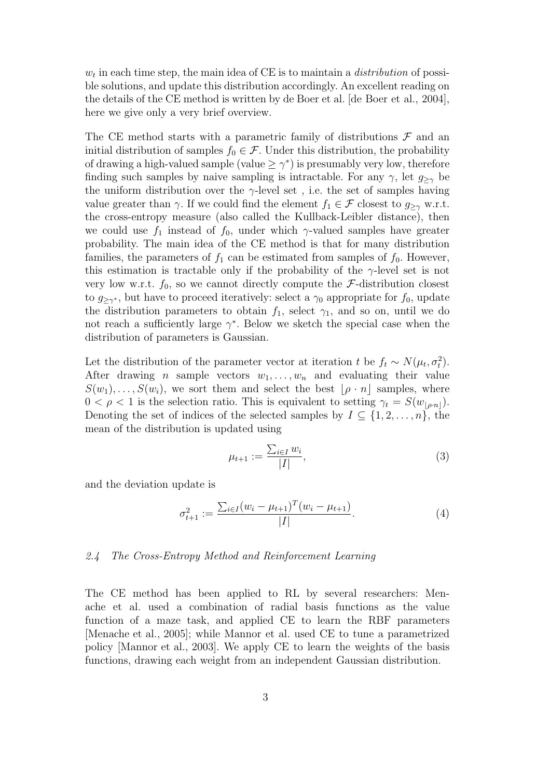$w_t$  in each time step, the main idea of CE is to maintain a *distribution* of possible solutions, and update this distribution accordingly. An excellent reading on the details of the CE method is written by de Boer et al. [de Boer et al., 2004], here we give only a very brief overview.

The CE method starts with a parametric family of distributions  $\mathcal F$  and an initial distribution of samples  $f_0 \in \mathcal{F}$ . Under this distribution, the probability of drawing a high-valued sample (value  $\geq \gamma^*$ ) is presumably very low, therefore finding such samples by naive sampling is intractable. For any  $\gamma$ , let  $g_{\geq \gamma}$  be the uniform distribution over the  $\gamma$ -level set, i.e. the set of samples having value greater than  $\gamma$ . If we could find the element  $f_1 \in \mathcal{F}$  closest to  $g_{\geq \gamma}$  w.r.t. the cross-entropy measure (also called the Kullback-Leibler distance), then we could use  $f_1$  instead of  $f_0$ , under which  $\gamma$ -valued samples have greater probability. The main idea of the CE method is that for many distribution families, the parameters of  $f_1$  can be estimated from samples of  $f_0$ . However, this estimation is tractable only if the probability of the  $\gamma$ -level set is not very low w.r.t.  $f_0$ , so we cannot directly compute the F-distribution closest to  $g_{\geq \gamma^*}$ , but have to proceed iteratively: select a  $\gamma_0$  appropriate for  $f_0$ , update the distribution parameters to obtain  $f_1$ , select  $\gamma_1$ , and so on, until we do not reach a sufficiently large  $\gamma^*$ . Below we sketch the special case when the distribution of parameters is Gaussian.

Let the distribution of the parameter vector at iteration t be  $f_t \sim N(\mu_t, \sigma_t^2)$ . After drawing *n* sample vectors  $w_1, \ldots, w_n$  and evaluating their value  $S(w_1), \ldots, S(w_i)$ , we sort them and select the best  $\lvert \rho \cdot n \rvert$  samples, where  $0 < \rho < 1$  is the selection ratio. This is equivalent to setting  $\gamma_t = S(w_{\vert \rho \cdot n \vert}).$ Denoting the set of indices of the selected samples by  $I \subseteq \{1, 2, ..., n\}$ , the mean of the distribution is updated using

$$
\mu_{t+1} := \frac{\sum_{i \in I} w_i}{|I|},\tag{3}
$$

and the deviation update is

$$
\sigma_{t+1}^2 := \frac{\sum_{i \in I} (w_i - \mu_{t+1})^T (w_i - \mu_{t+1})}{|I|}.
$$
\n(4)

#### 2.4 The Cross-Entropy Method and Reinforcement Learning

The CE method has been applied to RL by several researchers: Menache et al. used a combination of radial basis functions as the value function of a maze task, and applied CE to learn the RBF parameters [Menache et al., 2005]; while Mannor et al. used CE to tune a parametrized policy [Mannor et al., 2003]. We apply CE to learn the weights of the basis functions, drawing each weight from an independent Gaussian distribution.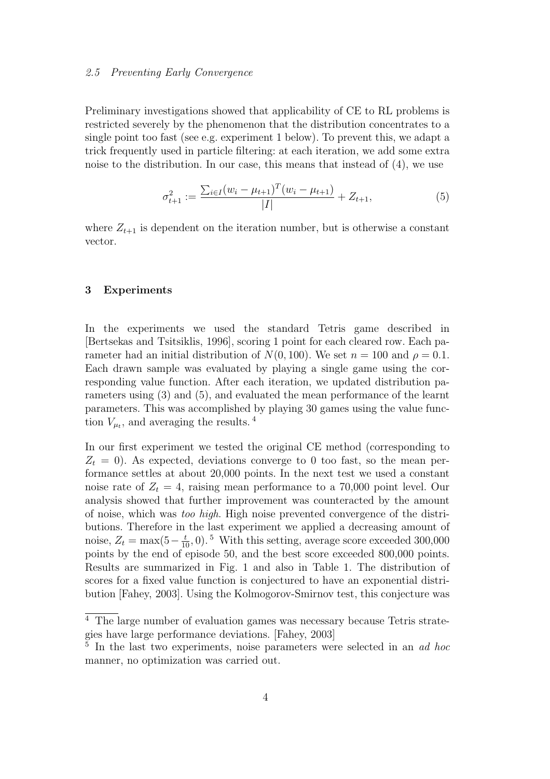#### 2.5 Preventing Early Convergence

Preliminary investigations showed that applicability of CE to RL problems is restricted severely by the phenomenon that the distribution concentrates to a single point too fast (see e.g. experiment 1 below). To prevent this, we adapt a trick frequently used in particle filtering: at each iteration, we add some extra noise to the distribution. In our case, this means that instead of (4), we use

$$
\sigma_{t+1}^2 := \frac{\sum_{i \in I} (w_i - \mu_{t+1})^T (w_i - \mu_{t+1})}{|I|} + Z_{t+1},
$$
\n(5)

where  $Z_{t+1}$  is dependent on the iteration number, but is otherwise a constant vector.

#### 3 Experiments

In the experiments we used the standard Tetris game described in [Bertsekas and Tsitsiklis, 1996], scoring 1 point for each cleared row. Each parameter had an initial distribution of  $N(0, 100)$ . We set  $n = 100$  and  $\rho = 0.1$ . Each drawn sample was evaluated by playing a single game using the corresponding value function. After each iteration, we updated distribution parameters using (3) and (5), and evaluated the mean performance of the learnt parameters. This was accomplished by playing 30 games using the value function  $V_{\mu_t}$ , and averaging the results.<sup>4</sup>

In our first experiment we tested the original CE method (corresponding to  $Z_t = 0$ ). As expected, deviations converge to 0 too fast, so the mean performance settles at about 20,000 points. In the next test we used a constant noise rate of  $Z_t = 4$ , raising mean performance to a 70,000 point level. Our analysis showed that further improvement was counteracted by the amount of noise, which was too high. High noise prevented convergence of the distributions. Therefore in the last experiment we applied a decreasing amount of noise,  $Z_t = \max(5 - \frac{t}{10}, 0)$ .<sup>5</sup> With this setting, average score exceeded 300,000 points by the end of episode 50, and the best score exceeded 800,000 points. Results are summarized in Fig. 1 and also in Table 1. The distribution of scores for a fixed value function is conjectured to have an exponential distribution [Fahey, 2003]. Using the Kolmogorov-Smirnov test, this conjecture was

<sup>4</sup> The large number of evaluation games was necessary because Tetris strategies have large performance deviations. [Fahey, 2003]

<sup>&</sup>lt;sup>5</sup> In the last two experiments, noise parameters were selected in an *ad hoc* manner, no optimization was carried out.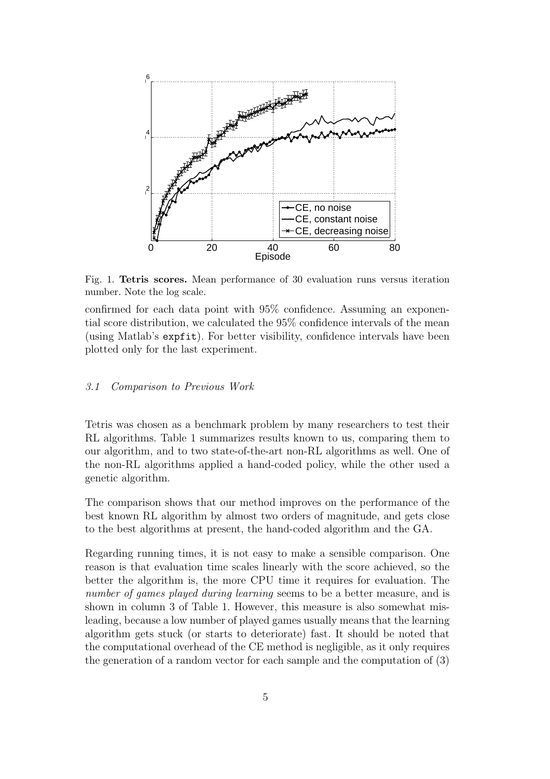

Fig. 1. Tetris scores. Mean performance of 30 evaluation runs versus iteration number. Note the log scale.

confirmed for each data point with 95% confidence. Assuming an exponential score distribution, we calculated the 95% confidence intervals of the mean (using Matlab's expfit). For better visibility, confidence intervals have been plotted only for the last experiment.

## 3.1 Comparison to Previous Work

Tetris was chosen as a benchmark problem by many researchers to test their RL algorithms. Table 1 summarizes results known to us, comparing them to our algorithm, and to two state-of-the-art non-RL algorithms as well. One of the non-RL algorithms applied a hand-coded policy, while the other used a genetic algorithm.

The comparison shows that our method improves on the performance of the best known RL algorithm by almost two orders of magnitude, and gets close to the best algorithms at present, the hand-coded algorithm and the GA.

Regarding running times, it is not easy to make a sensible comparison. One reason is that evaluation time scales linearly with the score achieved, so the better the algorithm is, the more CPU time it requires for evaluation. The number of games played during learning seems to be a better measure, and is shown in column 3 of Table 1. However, this measure is also somewhat misleading, because a low number of played games usually means that the learning algorithm gets stuck (or starts to deteriorate) fast. It should be noted that the computational overhead of the CE method is negligible, as it only requires the generation of a random vector for each sample and the computation of (3)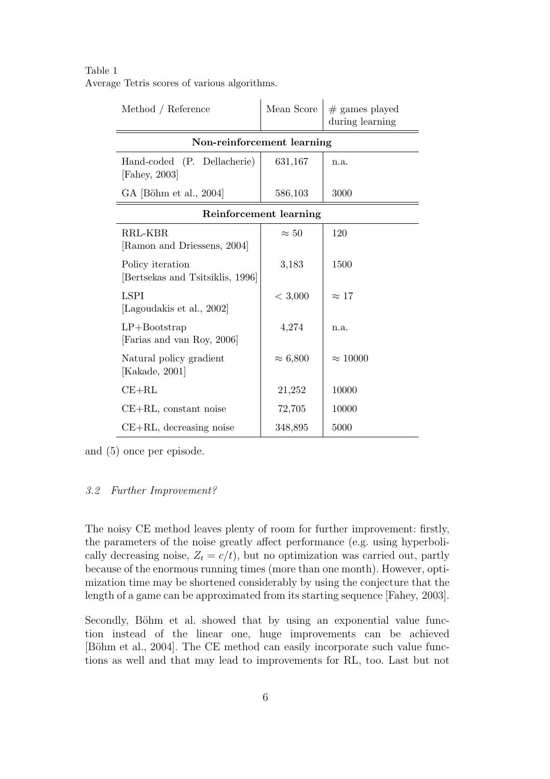Table 1 Average Tetris scores of various algorithms.

| Method / Reference                                    | Mean Score      | $#$ games played<br>during learning |
|-------------------------------------------------------|-----------------|-------------------------------------|
| Non-reinforcement learning                            |                 |                                     |
| Hand-coded (P. Dellacherie)<br>[Fahey, $2003$ ]       | 631,167         | n.a.                                |
| GA [Böhm et al., $2004$ ]                             | 586,103         | 3000                                |
| Reinforcement learning                                |                 |                                     |
| RRL-KBR<br>[Ramon and Driessens, 2004]                | $\approx 50$    | 120                                 |
| Policy iteration<br>[Bertsekas and Tsitsiklis, 1996]  | 3,183           | 1500                                |
| <b>LSPI</b><br>[Lagoudakis et al., 2002]              | < 3,000         | $\approx 17$                        |
| $LP + \text{Bootstrap}$<br>[Farias and van Roy, 2006] | 4,274           | n.a.                                |
| Natural policy gradient<br>[Kakade, 2001]             | $\approx 6,800$ | $\approx 10000$                     |
| $CE+RL$                                               | 21,252          | 10000                               |
| $CE+RL$ , constant noise                              | 72,705          | 10000                               |
| $CE+RL$ , decreasing noise                            | 348,895         | 5000                                |

and (5) once per episode.

# 3.2 Further Improvement?

The noisy CE method leaves plenty of room for further improvement: firstly, the parameters of the noise greatly affect performance (e.g. using hyperbolically decreasing noise,  $Z_t = c/t$ , but no optimization was carried out, partly because of the enormous running times (more than one month). However, optimization time may be shortened considerably by using the conjecture that the length of a game can be approximated from its starting sequence [Fahey, 2003].

Secondly, Böhm et al. showed that by using an exponential value function instead of the linear one, huge improvements can be achieved [Böhm et al., 2004]. The CE method can easily incorporate such value functions as well and that may lead to improvements for RL, too. Last but not